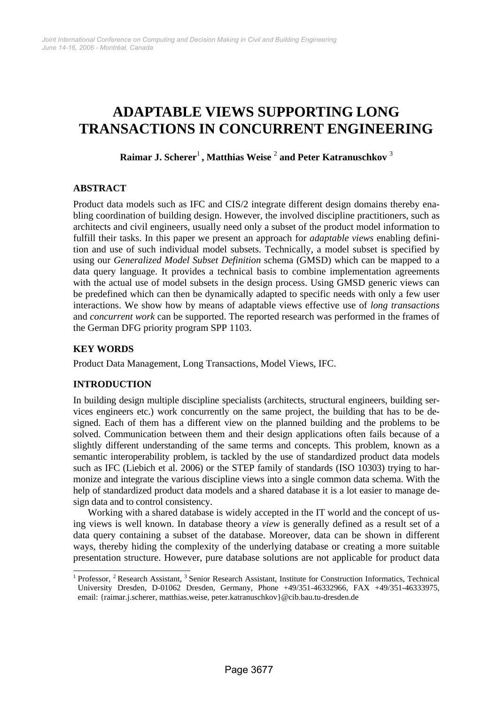# **ADAPTABLE VIEWS SUPPORTING LONG TRANSACTIONS IN CONCURRENT ENGINEERING**

**Raimar J. Scherer**<sup>1</sup> **, Matthias Weise** <sup>2</sup>  **and Peter Katranuschkov** <sup>3</sup>

# **ABSTRACT**

Product data models such as IFC and CIS/2 integrate different design domains thereby enabling coordination of building design. However, the involved discipline practitioners, such as architects and civil engineers, usually need only a subset of the product model information to fulfill their tasks. In this paper we present an approach for *adaptable views* enabling definition and use of such individual model subsets. Technically, a model subset is specified by using our *Generalized Model Subset Definition* schema (GMSD) which can be mapped to a data query language. It provides a technical basis to combine implementation agreements with the actual use of model subsets in the design process. Using GMSD generic views can be predefined which can then be dynamically adapted to specific needs with only a few user interactions. We show how by means of adaptable views effective use of *long transactions* and *concurrent work* can be supported. The reported research was performed in the frames of the German DFG priority program SPP 1103.

# **KEY WORDS**

Product Data Management, Long Transactions, Model Views, IFC.

# **INTRODUCTION**

In building design multiple discipline specialists (architects, structural engineers, building services engineers etc.) work concurrently on the same project, the building that has to be designed. Each of them has a different view on the planned building and the problems to be solved. Communication between them and their design applications often fails because of a slightly different understanding of the same terms and concepts. This problem, known as a semantic interoperability problem, is tackled by the use of standardized product data models such as IFC (Liebich et al. 2006) or the STEP family of standards (ISO 10303) trying to harmonize and integrate the various discipline views into a single common data schema. With the help of standardized product data models and a shared database it is a lot easier to manage design data and to control consistency.

Working with a shared database is widely accepted in the IT world and the concept of using views is well known. In database theory a *view* is generally defined as a result set of a data query containing a subset of the database. Moreover, data can be shown in different ways, thereby hiding the complexity of the underlying database or creating a more suitable presentation structure. However, pure database solutions are not applicable for product data

l <sup>1</sup> Professor, <sup>2</sup> Research Assistant, <sup>3</sup> Senior Research Assistant, Institute for Construction Informatics, Technical University Dresden, D-01062 Dresden, Germany, Phone +49/351-46332966, FAX +49/351-46333975, email: {raimar.j.scherer, matthias.weise, peter.katranuschkov}@cib.bau.tu-dresden.de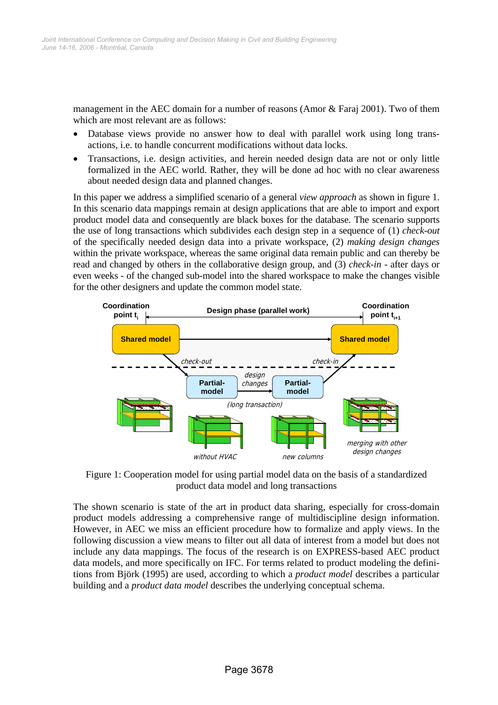management in the AEC domain for a number of reasons (Amor & Faraj 2001). Two of them which are most relevant are as follows:

- Database views provide no answer how to deal with parallel work using long transactions, i.e. to handle concurrent modifications without data locks.
- Transactions, i.e. design activities, and herein needed design data are not or only little formalized in the AEC world. Rather, they will be done ad hoc with no clear awareness about needed design data and planned changes.

In this paper we address a simplified scenario of a general *view approach* as shown in figure 1. In this scenario data mappings remain at design applications that are able to import and export product model data and consequently are black boxes for the database. The scenario supports the use of long transactions which subdivides each design step in a sequence of (1) *check-out* of the specifically needed design data into a private workspace, (2) *making design changes* within the private workspace, whereas the same original data remain public and can thereby be read and changed by others in the collaborative design group, and (3) *check-in* - after days or even weeks - of the changed sub-model into the shared workspace to make the changes visible for the other designers and update the common model state.



Figure 1: Cooperation model for using partial model data on the basis of a standardized product data model and long transactions

The shown scenario is state of the art in product data sharing, especially for cross-domain product models addressing a comprehensive range of multidiscipline design information. However, in AEC we miss an efficient procedure how to formalize and apply views. In the following discussion a view means to filter out all data of interest from a model but does not include any data mappings. The focus of the research is on EXPRESS-based AEC product data models, and more specifically on IFC. For terms related to product modeling the definitions from Björk (1995) are used, according to which a *product model* describes a particular building and a *product data model* describes the underlying conceptual schema.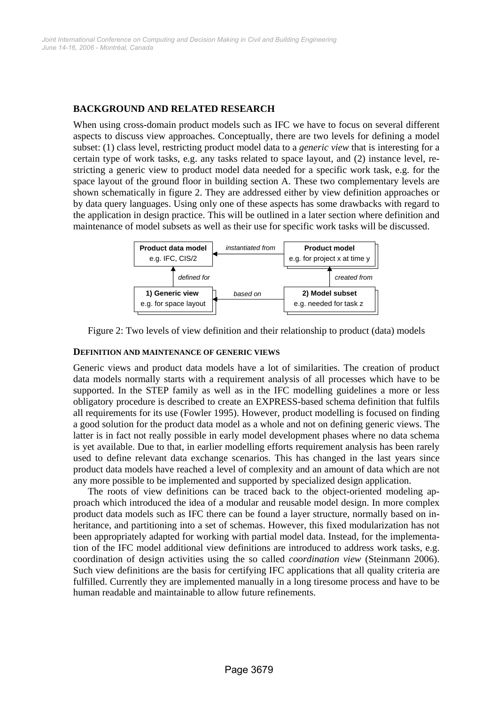#### **BACKGROUND AND RELATED RESEARCH**

When using cross-domain product models such as IFC we have to focus on several different aspects to discuss view approaches. Conceptually, there are two levels for defining a model subset: (1) class level, restricting product model data to a *generic view* that is interesting for a certain type of work tasks, e.g. any tasks related to space layout, and (2) instance level, restricting a generic view to product model data needed for a specific work task, e.g. for the space layout of the ground floor in building section A. These two complementary levels are shown schematically in figure 2. They are addressed either by view definition approaches or by data query languages. Using only one of these aspects has some drawbacks with regard to the application in design practice. This will be outlined in a later section where definition and maintenance of model subsets as well as their use for specific work tasks will be discussed.



Figure 2: Two levels of view definition and their relationship to product (data) models

#### **DEFINITION AND MAINTENANCE OF GENERIC VIEWS**

Generic views and product data models have a lot of similarities. The creation of product data models normally starts with a requirement analysis of all processes which have to be supported. In the STEP family as well as in the IFC modelling guidelines a more or less obligatory procedure is described to create an EXPRESS-based schema definition that fulfils all requirements for its use (Fowler 1995). However, product modelling is focused on finding a good solution for the product data model as a whole and not on defining generic views. The latter is in fact not really possible in early model development phases where no data schema is yet available. Due to that, in earlier modelling efforts requirement analysis has been rarely used to define relevant data exchange scenarios. This has changed in the last years since product data models have reached a level of complexity and an amount of data which are not any more possible to be implemented and supported by specialized design application.

The roots of view definitions can be traced back to the object-oriented modeling approach which introduced the idea of a modular and reusable model design. In more complex product data models such as IFC there can be found a layer structure, normally based on inheritance, and partitioning into a set of schemas. However, this fixed modularization has not been appropriately adapted for working with partial model data. Instead, for the implementation of the IFC model additional view definitions are introduced to address work tasks, e.g. coordination of design activities using the so called *coordination view* (Steinmann 2006). Such view definitions are the basis for certifying IFC applications that all quality criteria are fulfilled. Currently they are implemented manually in a long tiresome process and have to be human readable and maintainable to allow future refinements.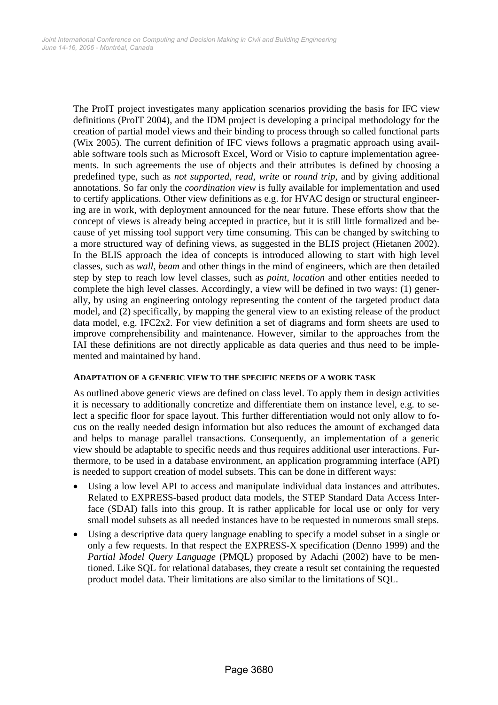The ProIT project investigates many application scenarios providing the basis for IFC view definitions (ProIT 2004), and the IDM project is developing a principal methodology for the creation of partial model views and their binding to process through so called functional parts (Wix 2005). The current definition of IFC views follows a pragmatic approach using available software tools such as Microsoft Excel, Word or Visio to capture implementation agreements. In such agreements the use of objects and their attributes is defined by choosing a predefined type, such as *not supported*, *read*, *write* or *round trip*, and by giving additional annotations. So far only the *coordination view* is fully available for implementation and used to certify applications. Other view definitions as e.g. for HVAC design or structural engineering are in work, with deployment announced for the near future. These efforts show that the concept of views is already being accepted in practice, but it is still little formalized and because of yet missing tool support very time consuming. This can be changed by switching to a more structured way of defining views, as suggested in the BLIS project (Hietanen 2002). In the BLIS approach the idea of concepts is introduced allowing to start with high level classes, such as *wall*, *beam* and other things in the mind of engineers, which are then detailed step by step to reach low level classes, such as *point*, *location* and other entities needed to complete the high level classes. Accordingly, a view will be defined in two ways: (1) generally, by using an engineering ontology representing the content of the targeted product data model, and (2) specifically, by mapping the general view to an existing release of the product data model, e.g. IFC2x2. For view definition a set of diagrams and form sheets are used to improve comprehensibility and maintenance. However, similar to the approaches from the IAI these definitions are not directly applicable as data queries and thus need to be implemented and maintained by hand.

#### **ADAPTATION OF A GENERIC VIEW TO THE SPECIFIC NEEDS OF A WORK TASK**

As outlined above generic views are defined on class level. To apply them in design activities it is necessary to additionally concretize and differentiate them on instance level, e.g. to select a specific floor for space layout. This further differentiation would not only allow to focus on the really needed design information but also reduces the amount of exchanged data and helps to manage parallel transactions. Consequently, an implementation of a generic view should be adaptable to specific needs and thus requires additional user interactions. Furthermore, to be used in a database environment, an application programming interface (API) is needed to support creation of model subsets. This can be done in different ways:

- Using a low level API to access and manipulate individual data instances and attributes. Related to EXPRESS-based product data models, the STEP Standard Data Access Interface (SDAI) falls into this group. It is rather applicable for local use or only for very small model subsets as all needed instances have to be requested in numerous small steps.
- Using a descriptive data query language enabling to specify a model subset in a single or only a few requests. In that respect the EXPRESS-X specification (Denno 1999) and the *Partial Model Query Language* (PMQL) proposed by Adachi (2002) have to be mentioned. Like SQL for relational databases, they create a result set containing the requested product model data. Their limitations are also similar to the limitations of SQL.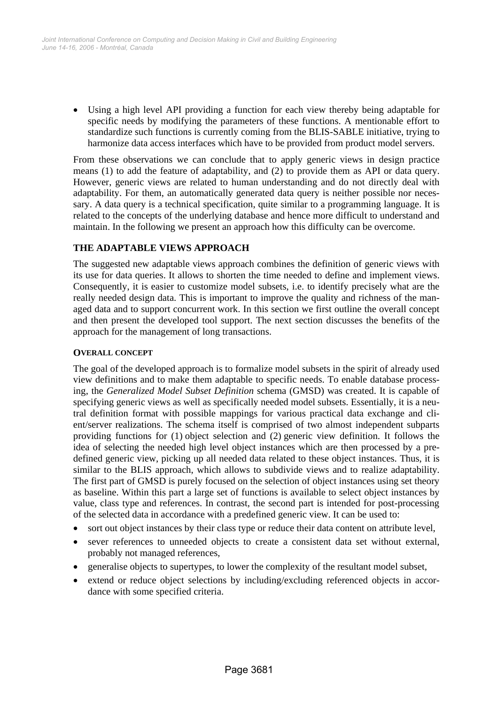• Using a high level API providing a function for each view thereby being adaptable for specific needs by modifying the parameters of these functions. A mentionable effort to standardize such functions is currently coming from the BLIS-SABLE initiative, trying to harmonize data access interfaces which have to be provided from product model servers.

From these observations we can conclude that to apply generic views in design practice means (1) to add the feature of adaptability, and (2) to provide them as API or data query. However, generic views are related to human understanding and do not directly deal with adaptability. For them, an automatically generated data query is neither possible nor necessary. A data query is a technical specification, quite similar to a programming language. It is related to the concepts of the underlying database and hence more difficult to understand and maintain. In the following we present an approach how this difficulty can be overcome.

# **THE ADAPTABLE VIEWS APPROACH**

The suggested new adaptable views approach combines the definition of generic views with its use for data queries. It allows to shorten the time needed to define and implement views. Consequently, it is easier to customize model subsets, i.e. to identify precisely what are the really needed design data. This is important to improve the quality and richness of the managed data and to support concurrent work. In this section we first outline the overall concept and then present the developed tool support. The next section discusses the benefits of the approach for the management of long transactions.

## **OVERALL CONCEPT**

The goal of the developed approach is to formalize model subsets in the spirit of already used view definitions and to make them adaptable to specific needs. To enable database processing, the *Generalized Model Subset Definition* schema (GMSD) was created. It is capable of specifying generic views as well as specifically needed model subsets. Essentially, it is a neutral definition format with possible mappings for various practical data exchange and client/server realizations. The schema itself is comprised of two almost independent subparts providing functions for (1) object selection and (2) generic view definition. It follows the idea of selecting the needed high level object instances which are then processed by a predefined generic view, picking up all needed data related to these object instances. Thus, it is similar to the BLIS approach, which allows to subdivide views and to realize adaptability. The first part of GMSD is purely focused on the selection of object instances using set theory as baseline. Within this part a large set of functions is available to select object instances by value, class type and references. In contrast, the second part is intended for post-processing of the selected data in accordance with a predefined generic view. It can be used to:

- sort out object instances by their class type or reduce their data content on attribute level,
- sever references to unneeded objects to create a consistent data set without external, probably not managed references,
- generalise objects to supertypes, to lower the complexity of the resultant model subset,
- extend or reduce object selections by including/excluding referenced objects in accordance with some specified criteria.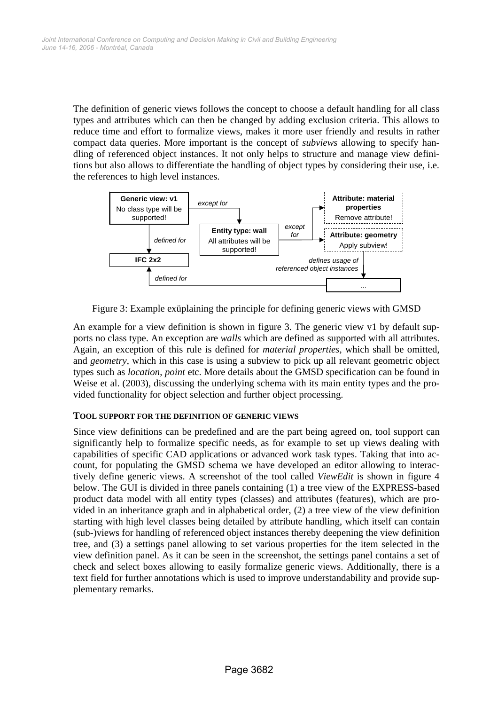The definition of generic views follows the concept to choose a default handling for all class types and attributes which can then be changed by adding exclusion criteria. This allows to reduce time and effort to formalize views, makes it more user friendly and results in rather compact data queries. More important is the concept of *subviews* allowing to specify handling of referenced object instances. It not only helps to structure and manage view definitions but also allows to differentiate the handling of object types by considering their use, i.e. the references to high level instances.



Figure 3: Example exüplaining the principle for defining generic views with GMSD

An example for a view definition is shown in figure 3. The generic view v1 by default supports no class type. An exception are *walls* which are defined as supported with all attributes. Again, an exception of this rule is defined for *material properties*, which shall be omitted, and *geometry*, which in this case is using a subview to pick up all relevant geometric object types such as *location*, *point* etc. More details about the GMSD specification can be found in Weise et al. (2003), discussing the underlying schema with its main entity types and the provided functionality for object selection and further object processing.

## **TOOL SUPPORT FOR THE DEFINITION OF GENERIC VIEWS**

Since view definitions can be predefined and are the part being agreed on, tool support can significantly help to formalize specific needs, as for example to set up views dealing with capabilities of specific CAD applications or advanced work task types. Taking that into account, for populating the GMSD schema we have developed an editor allowing to interactively define generic views. A screenshot of the tool called *ViewEdit* is shown in figure 4 below. The GUI is divided in three panels containing (1) a tree view of the EXPRESS-based product data model with all entity types (classes) and attributes (features), which are provided in an inheritance graph and in alphabetical order, (2) a tree view of the view definition starting with high level classes being detailed by attribute handling, which itself can contain (sub-)views for handling of referenced object instances thereby deepening the view definition tree, and (3) a settings panel allowing to set various properties for the item selected in the view definition panel. As it can be seen in the screenshot, the settings panel contains a set of check and select boxes allowing to easily formalize generic views. Additionally, there is a text field for further annotations which is used to improve understandability and provide supplementary remarks.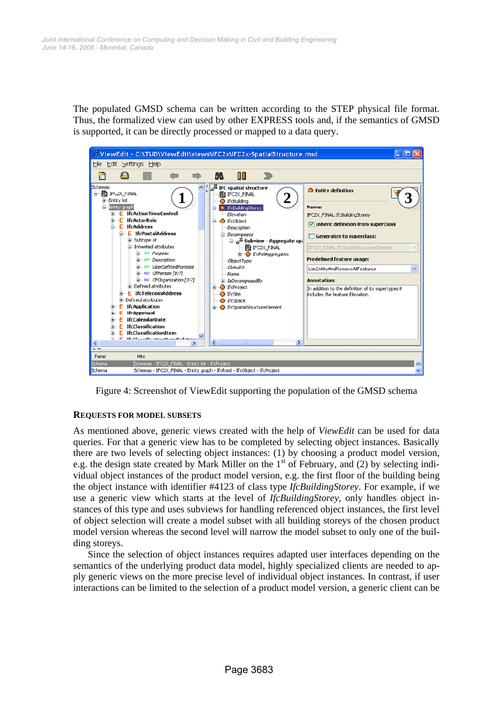The populated GMSD schema can be written according to the STEP physical file format. Thus, the formalized view can used by other EXPRESS tools and, if the semantics of GMSD is supported, it can be directly processed or mapped to a data query.



Figure 4: Screenshot of ViewEdit supporting the population of the GMSD schema

## **REQUESTS FOR MODEL SUBSETS**

As mentioned above, generic views created with the help of *ViewEdit* can be used for data queries. For that a generic view has to be completed by selecting object instances. Basically there are two levels of selecting object instances: (1) by choosing a product model version, e.g. the design state created by Mark Miller on the  $1<sup>st</sup>$  of February, and (2) by selecting individual object instances of the product model version, e.g. the first floor of the building being the object instance with identifier #4123 of class type *IfcBuildingStorey*. For example, if we use a generic view which starts at the level of *IfcBuildingStorey,* only handles object instances of this type and uses subviews for handling referenced object instances, the first level of object selection will create a model subset with all building storeys of the chosen product model version whereas the second level will narrow the model subset to only one of the building storeys.

Since the selection of object instances requires adapted user interfaces depending on the semantics of the underlying product data model, highly specialized clients are needed to apply generic views on the more precise level of individual object instances. In contrast, if user interactions can be limited to the selection of a product model version, a generic client can be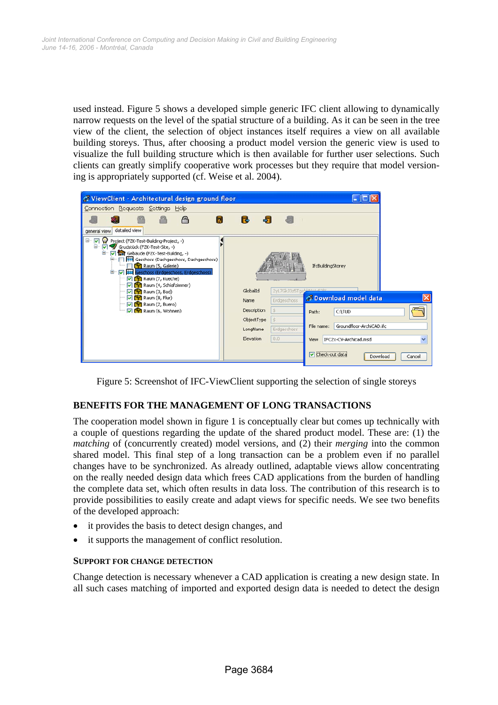used instead. Figure 5 shows a developed simple generic IFC client allowing to dynamically narrow requests on the level of the spatial structure of a building. As it can be seen in the tree view of the client, the selection of object instances itself requires a view on all available building storeys. Thus, after choosing a product model version the generic view is used to visualize the full building structure which is then available for further user selections. Such clients can greatly simplify cooperative work processes but they require that model versioning is appropriately supported (cf. Weise et al. 2004).



Figure 5: Screenshot of IFC-ViewClient supporting the selection of single storeys

## **BENEFITS FOR THE MANAGEMENT OF LONG TRANSACTIONS**

The cooperation model shown in figure 1 is conceptually clear but comes up technically with a couple of questions regarding the update of the shared product model. These are: (1) the *matching* of (concurrently created) model versions, and (2) their *merging* into the common shared model. This final step of a long transaction can be a problem even if no parallel changes have to be synchronized. As already outlined, adaptable views allow concentrating on the really needed design data which frees CAD applications from the burden of handling the complete data set, which often results in data loss. The contribution of this research is to provide possibilities to easily create and adapt views for specific needs. We see two benefits of the developed approach:

- it provides the basis to detect design changes, and
- it supports the management of conflict resolution.

## **SUPPORT FOR CHANGE DETECTION**

Change detection is necessary whenever a CAD application is creating a new design state. In all such cases matching of imported and exported design data is needed to detect the design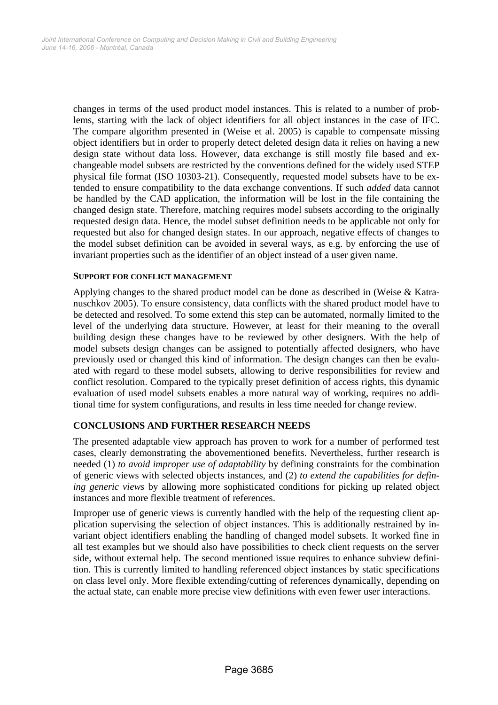changes in terms of the used product model instances. This is related to a number of problems, starting with the lack of object identifiers for all object instances in the case of IFC. The compare algorithm presented in (Weise et al. 2005) is capable to compensate missing object identifiers but in order to properly detect deleted design data it relies on having a new design state without data loss. However, data exchange is still mostly file based and exchangeable model subsets are restricted by the conventions defined for the widely used STEP physical file format (ISO 10303-21). Consequently, requested model subsets have to be extended to ensure compatibility to the data exchange conventions. If such *added* data cannot be handled by the CAD application, the information will be lost in the file containing the changed design state. Therefore, matching requires model subsets according to the originally requested design data. Hence, the model subset definition needs to be applicable not only for requested but also for changed design states. In our approach, negative effects of changes to the model subset definition can be avoided in several ways, as e.g. by enforcing the use of invariant properties such as the identifier of an object instead of a user given name.

#### **SUPPORT FOR CONFLICT MANAGEMENT**

Applying changes to the shared product model can be done as described in (Weise & Katranuschkov 2005). To ensure consistency, data conflicts with the shared product model have to be detected and resolved. To some extend this step can be automated, normally limited to the level of the underlying data structure. However, at least for their meaning to the overall building design these changes have to be reviewed by other designers. With the help of model subsets design changes can be assigned to potentially affected designers, who have previously used or changed this kind of information. The design changes can then be evaluated with regard to these model subsets, allowing to derive responsibilities for review and conflict resolution. Compared to the typically preset definition of access rights, this dynamic evaluation of used model subsets enables a more natural way of working, requires no additional time for system configurations, and results in less time needed for change review.

## **CONCLUSIONS AND FURTHER RESEARCH NEEDS**

The presented adaptable view approach has proven to work for a number of performed test cases, clearly demonstrating the abovementioned benefits. Nevertheless, further research is needed (1) *to avoid improper use of adaptability* by defining constraints for the combination of generic views with selected objects instances, and (2) *to extend the capabilities for defining generic views* by allowing more sophisticated conditions for picking up related object instances and more flexible treatment of references.

Improper use of generic views is currently handled with the help of the requesting client application supervising the selection of object instances. This is additionally restrained by invariant object identifiers enabling the handling of changed model subsets. It worked fine in all test examples but we should also have possibilities to check client requests on the server side, without external help. The second mentioned issue requires to enhance subview definition. This is currently limited to handling referenced object instances by static specifications on class level only. More flexible extending/cutting of references dynamically, depending on the actual state, can enable more precise view definitions with even fewer user interactions.